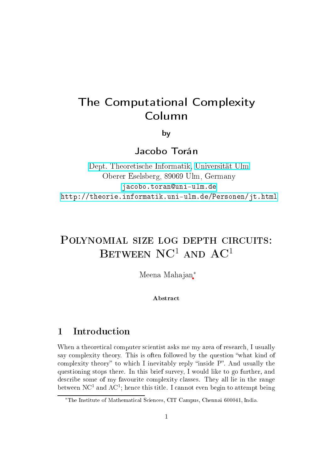# The Computational Complexity Column

by

Jacobo Torán

Dept. [Theoretis
he](http://informatik.uni-ulm.de) Informatik, [Universität](http://www.uni-ulm.de) Ulm Oberer Eselsberg, <sup>89069</sup> Ulm, Germany jacobo.toran@uni-ulm.de <http://theorie.informatik.uni-ulm.de/Personen/jt.html>

# POLYNOMIAL SIZE LOG DEPTH CIRCUITS: BETWEEN  $NC<sup>1</sup>$  AND  $AC<sup>1</sup>$

Meena Mahajan<sup>\*</sup>

**Abstract** 

# 1 Introdu
tion

When a theoretical computer scientist asks me my area of research, I usually say complexity theory. This is often followed by the question "what kind of complexity theory" to which I inevitably reply "inside P". And usually the questioning stops there. In this brief survey, I would like to go further, and des
ribe some of my favourite omplexity lasses. They all lie in the range between NC<sup>1</sup> and AC<sup>1</sup>; hence this title. I cannot even begin to attempt being

<sup>∗</sup>The Institute of Mathemati
al S
ien
es, CIT Campus, Chennai 600041, India.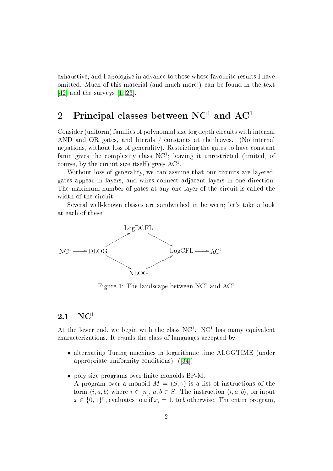exhaustive, and I apologize in advan
e to those whose favourite results I have omitted. Mu
h of this material (and mu
h more!) an be found in the text [42] and the surveys  $[1, 23]$  $[1, 23]$ .

# 2 Principal classes between  $NC<sup>1</sup>$  and  $AC<sup>1</sup>$

Consider (uniform) families of polynomial size log depth circuits with internal AND and OR gates, and literals / constants at the leaves. (No internal negations, without loss of generality). Restricting the gates to have constant fanin gives the complexity class  $NC<sup>1</sup>$ ; leaving it unrestricted (limited, of course, by the circuit size itself) gives  $AC^1$ .

Without loss of generality, we can assume that our circuits are layered: gates appear in layers, and wires onne
t adja
ent layers in one dire
tion. The maximum number of gates at any one layer of the circuit is called the width of the circuit.

Several well-known lasses are sandwi
hed in between; let's take a look at ea
h of these.



<span id="page-1-0"></span>Figure 1: The landscape between  $NC<sup>1</sup>$  and  $AC<sup>1</sup>$ 

### $2.1 \quad NC^1$

At the lower end, we begin with the class  $NC<sup>1</sup>$ .  $NC<sup>1</sup>$  has many equivalent characterizations. It equals the class of languages accepted by

- alternating Turing machines in logarithmic time ALOGTIME (under appropriate uniformity conditions).  $([34])$
- poly size programs over finite monoids BP-M. A program over a monoid  $M = (S, \circ)$  is a list of instructions of the form  $\langle i, a, b \rangle$  where  $i \in [n], a, b \in S$ . The instruction  $\langle i, a, b \rangle$ , on input  $x \in \{0,1\}^n$ , evaluates to a if  $x_i = 1$ , to b otherwise. The entire program,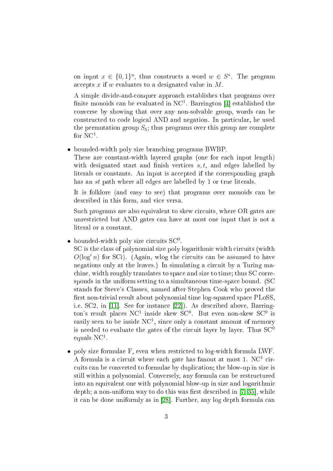on input  $x \in \{0,1\}^n$ , thus constructs a word  $w \in S^*$ . The program accepts x if w evaluates to a designated value in  $M$ .

A simple divide-andonquer approa
h establishes that programs over finite monoids can be evaluated in  $NC<sup>1</sup>$ . Barrington [4] established the onverse by showing that over any non-solvable group, words an be constructed to code logical AND and negation. In particular, he used the permutation group  $S_5$ ; thus programs over this group are complete for NC<sup>1</sup>.

#### • bounded-width poly size bran
hing programs BWBP.

These are constant-width layered graphs (one for each input length) with designated start and finish vertices  $s, t$ , and edges labelled by literals or constants. An input is accepted if the corresponding graph has an st path where all edges are labelled by 1 or true literals.

It is folklore (and easy to see) that programs over monoids can be described in this form, and vice versa.

Such programs are also equivalent to skew circuits, where OR gates are unrestri
ted but AND gates an have at most one input that is not a literal or a constant.

 $\bullet$  bounded-width poly size circuits SC<sup>0</sup>.

SC is the class of polynomial size poly logarithmic width circuits (width  $O(\log^3 n)$  for SCi). (Again, wlog the circuits can be assumed to have negations only at the leaves.) In simulating a circuit by a Turing machine, width roughly translates to space and size to time; thus SC corresponds in the uniform setting to a simultaneous time-spa
e bound. (SC stands for Steve's Classes, named after Stephen Cook who proved the first non-trivial result about polynomial time log-squared space PLoSS, i.e. SC2, in [11]. See for instance [22]). As described above, Barrington's result places NC<sup>1</sup> inside skew SC<sup>0</sup>. But even non-skew SC<sup>0</sup> is easily seen to be inside  $NC<sup>1</sup>$ , since only a constant amount of memory is needed to evaluate the gates of the circuit layer by layer. Thus  $SC^0$ equals  $NC^1$ .

• poly size formulae F, even when restricted to log-width formula LWF. A formula is a circuit where each gate has fanout at most 1.  $NC<sup>1</sup>$  circuits can be converted to formulae by duplication; the blow-up in size is still within a polynomial. Conversely, any formula can be restructured into an equivalent one with polynomial blow-up in size and logarithmi depth; a non-uniform way to do this was first described in  $[7, 35]$  $[7, 35]$ , while it can be done uniformly as in [28]. Further, any log depth formula can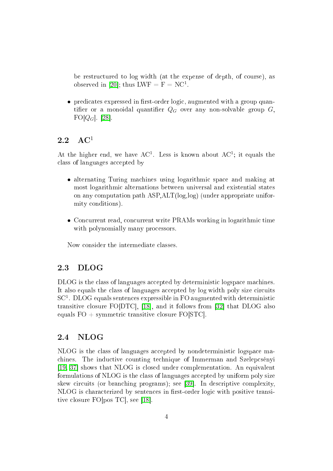be restructured to log width (at the expense of depth, of course), as observed in [20]; thus LWF =  $F = NC<sup>1</sup>$ .

• predicates expressed in first-order logic, augmented with a group quantifier or a monoidal quantifier  $Q_G$  over any non-solvable group G,  $FO[Q_G]$ . [28].

### 2.2  $\mathrm{AC}^1$

At the higher end, we have  $AC^1$ . Less is known about  $AC^1$ ; it equals the class of languages accepted by

- alternating Turing machines using logarithmic space and making at most logarithmi alternations between universal and existential states on any omputation path ASP,ALT(log,log) (under appropriate uniformity onditions).
- Concurrent read, concurrent write PRAMs working in logarithmic time with polynomially many processors.

Now onsider the intermediate lasses.

#### 2.3 **DLOG**

DLOG is the class of languages accepted by deterministic logspace machines. It also equals the class of languages accepted by log width poly size circuits  $SC<sup>1</sup>$ . DLOG equals sentences expressible in FO augmented with deterministic transitive closure FO[DTC], [18], and it follows from [32] that DLOG also equals  $FO + symmetric transitive closure FO[STC].$ 

#### $2.4$ NLOG

NLOG is the class of languages accepted by nondeterministic logspace machines. The inductive counting technique of Immerman and Szelepcsényi [\[19,](#page-14-5) 37] shows that NLOG is closed under complementation. An equivalent formulations of NLOG is the class of languages accepted by uniform poly size skew circuits (or branching programs); see [39]. In descriptive complexity, NLOG is characterized by sentences in first-order logic with positive transitive closure  $FO[pos TC]$ , see [18].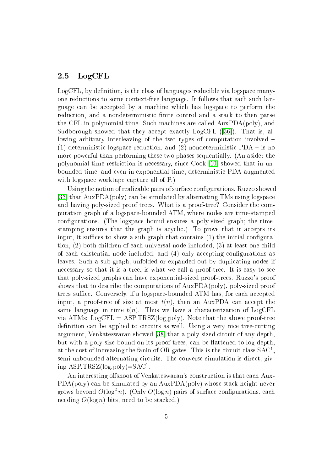#### 2.5 LogCFL

LogCFL, by definition, is the class of languages reducible via logspace manyone reductions to some context-free language. It follows that each such language can be accepted by a machine which has logspace to perform the reduction, and a nondeterministic finite control and a stack to then parse the CFL in polynomial time. Su
h ma
hines are alled AuxPDA(poly), and Sudborough showed that they accept exactly  $LogCFL$  ([36]). That is, allowing arbitrary interleaving of the two types of computation involved – (1) deterministic logspace reduction, and (2) nondeterministic  $PDA -$  is no more powerful than performing these two phases sequentially. (An aside: the polynomial time restriction is necessary, since Cook [10] showed that in unbounded time, and even in exponential time, deterministi PDA augmented with logspace worktape capture all of P.)

Using the notion of realizable pairs of surface configurations, Ruzzo showed  $\left|33\right|$  that AuxPDA(poly) can be simulated by alternating TMs using logspace and having poly-sized proof trees. What is a proof-tree? Consider the omputation graph of a logspa
e-bounded ATM, where nodes are time-stamped configurations. (The logspace bound ensures a poly-sized graph; the timestamping ensures that the graph is acyclic.) To prove that it accepts its input, it suffices to show a sub-graph that contains  $(1)$  the initial configuration, (2) both children of each universal node included, (3) at least one child of each existential node included, and (4) only accepting configurations as leaves. Su
h a sub-graph, unfolded or expanded out by dupli
ating nodes if necessary so that it is a tree, is what we call a proof-tree. It is easy to see that poly-sized graphs an have exponential-sized proof-trees. Ruzzo's proof shows that to describe the computations of AuxPDA(poly), poly-sized proof trees suffice. Conversely, if a logspace-bounded ATM has, for each accepted input, a proof-tree of size at most  $t(n)$ , then an AuxPDA can accept the same language in time  $t(n)$ . Thus we have a characterization of LogCFL via ATMs:  $LogCFL = ASP, TRSZ(log, poly)$ . Note that the above proof-tree definition can be applied to circuits as well. Using a very nice tree-cutting argument, Venkateswaran showed [38] that a poly-sized circuit of any depth. but with a poly-size bound on its proof trees, can be flattened to log depth, at the cost of increasing the fanin of OR gates. This is the circuit class  $SAC<sup>1</sup>$ , semi-unbounded alternating circuits. The converse simulation is direct, giv $ing$  ASP, TRSZ( $log, poly$ )=SAC<sup>1</sup>.

An interesting offshoot of Venkateswaran's construction is that each Aux-PDA(poly) can be simulated by an AuxPDA(poly) whose stack height never grows beyond  $O(\log^2 n)$ . (Only  $O(\log n)$  pairs of surface configurations, each needing  $O(\log n)$  bits, need to be stacked.)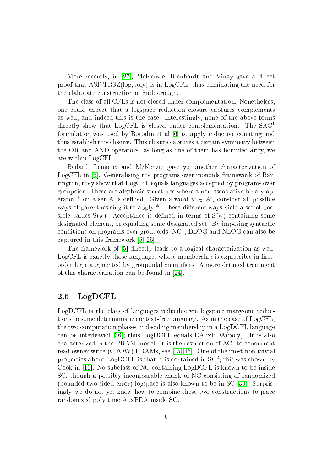More recently, in [27], McKenzie, Rienhardt and Vinay gave a direct proof that ASP,TRSZ(log,poly) is in LogCFL, thus eliminating the need for the elaborate onstru
tion of Sudborough.

The class of all CFLs is not closed under complementation. Nonetheless, one ould expe
t that a logspa
e redu
tion losure aptures omplements as well, and indeed this is the case. Interestingly, none of the above forms directly show that LogCFL is closed under complementation. The SAC<sup>1</sup> formulation was used by Borodin et al [6] to apply inductive counting and thus establish this losure. This losure aptures a ertain symmetry between the OR and AND operators: as long as one of them has bounded arity, we are within LogCFL.

Bedard, Lemieux and McKenzie gave yet another characterization of  $LogCFL$  in [5]. Generalising the programs-over-monoids framework of Barrington, they show that LogCFL equals languages accepted by programs over groupoids. These are algebraic structures where a non-associative binary operator \* on a set A is defined. Given a word  $w \in A^*$ , consider all possible ways of parenthesising it to apply  $*$ . These different ways yield a set of possible values  $S(w)$ . Acceptance is defined in terms of  $S(w)$  containing some designated element, or equalling some designated set. By imposing syntactic conditions on programs over groupoids,  $NC<sup>1</sup>$ ,  $DLOG$  and  $NLOG$  can also be captured in this framework  $[5, 25]$  $[5, 25]$ .

The framework of [5] directly leads to a logical characterization as well: LogCFL is exactly those languages whose membership is expressible in firstorder logic augmented by groupoidal quantifiers. A more detailed treatment of this characterization can be found in [24].

#### 2.6 LogDCFL

LogDCFL is the class of languages reducible via logspace many-one reductions to some deterministic context-free language. As in the case of LogCFL, the two omputation phases in de
iding membership in a LogDCFL language can be interleaved [36]; thus  $LogDCFL$  equals  $DAuxPDA(poly)$ . It is also characterized in the PRAM model: it is the restriction of  $AC^1$  to concurrent read owner-write (CROW) PRAMs, see [\[15,](#page-13-7) 16]. One of the most non-trivial properties about LogDCFL is that it is contained in  $SC^2$ ; this was shown by Cook in [11]. No subclass of NC containing LogDCFL is known to be inside SC, though a possibly incomparable chunk of NC consisting of randomized (bounded two-sided error) logspace is also known to be in SC [30]. Surprisingly, we do not yet know how to combine these two constructions to place randomized poly time AuxPDA inside SC.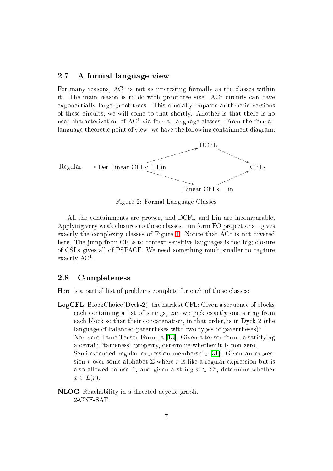### 2.7 A formal language view

For many reasons,  $AC^1$  is not as interesting formally as the classes within it. The main reason is to do with proof-tree size:  $AC^1$  circuits can have exponentially large proof trees. This crucially impacts arithmetic versions of these circuits; we will come to that shortly. Another is that there is no neat characterization of  $AC^1$  via formal language classes. From the formallanguage-theoretic point of view, we have the following containment diagram:



<span id="page-6-0"></span>Figure 2: Formal Language Classes

All the ontainments are proper, and DCFL and Lin are in
omparable. Applying very weak closures to these classes – uniform FO projections – gives exactly the complexity classes of Figure [1.](#page-1-0) Notice that  $AC^1$  is not covered here. The jump from CFLs to context-sensitive languages is too big; closure of CSLs gives all of PSPACE. We need something mu
h smaller to apture exactly AC<sup>1</sup>.

#### 2.8 Completeness

Here is a partial list of problems omplete for ea
h of these lasses:

LogCFL Blo
kChoi
e(Dy
k-2), the hardest CFL: Given a sequen
e of blo
ks, each containing a list of strings, can we pick exactly one string from each block so that their concatenation, in that order, is in Dyck-2 (the language of balan
ed parentheses with two types of parentheses)? Non-zero Tame Tensor Formula [13]: Given a tensor formula satisfying a certain "tameness" property, determine whether it is non-zero. Semi-extended regular expression membership [31]: Given an expression r over some alphabet  $\Sigma$  where r is like a regular expression but is also allowed to use  $\cap$ , and given a string  $x \in \Sigma^*$ , determine whether  $x \in L(r)$ .

NLOG Rea
hability in a dire
ted a
y
li graph. 2-CNF-SAT.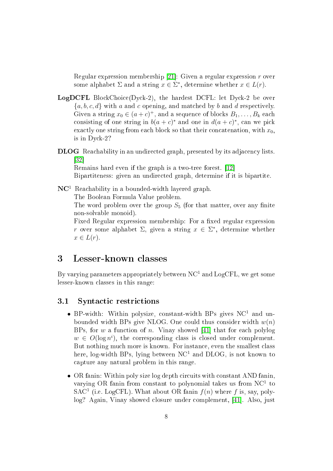Regular expression membership [21]: Given a regular expression  $r$  over some alphabet  $\Sigma$  and a string  $x \in \Sigma^*$ , determine whether  $x \in L(r)$ .

- e and the hardest property with the hardest December 2012, the set of the hardest property of the set of the s  ${a, b, c, d}$  with a and c opening, and matched by b and d respectively. Given a string  $x_0 \in (a+c)^+$ , and a sequence of blocks  $B_1, \ldots, B_k$  each consisting of one string in  $b(a+c)^*$  and one in  $d(a+c)^*$ , can we pick exactly one string from each block so that their concatenation, with  $x_0$ . is in Dy
k-2?
- en en an und de graph, presented by its adjace and the presented by its adjace that it is adjacent to the second  $|32|$

Remains hard even if the graph is a two-tree forest.  $[12]$ Bipartiteness: given an undirected graph, determine if it is bipartite.

 $NC<sup>1</sup>$  Reachability in a bounded-width layered graph.

The Boolean Formula Value problem.

The word problem over the group  $S_5$  (for that matter, over any finite non-solvable monoid).

Fixed Regular expression membership: For a fixed regular expression r over some alphabet  $\Sigma$ , given a string  $x \in \Sigma^*$ , determine whether  $x \in L(r)$ .

## 3 Lesser-known lasses

By varying parameters appropriately between  $NC<sup>1</sup>$  and  $LogCFL$ , we get some lesser-known lasses in this range:

#### 3.1 Syntactic restrictions

- BP-width: Within polysize, constant-width BPs gives  $NC<sup>1</sup>$  and unbounded width BPs give NLOG. One could thus consider width  $w(n)$ BPs, for w a function of n. Vinay showed [41] that for each polylog  $w \in O(\log n^i)$ , the corresponding class is closed under complement. But nothing much more is known. For instance, even the smallest class here, log-width BPs, lying between  $NC<sup>1</sup>$  and DLOG, is not known to apture any natural problem in this range.
- OR fanin: Within poly size log depth circuits with constant AND fanin, varying OR fanin from constant to polynomial takes us from  $NC<sup>1</sup>$  to SAC<sup>1</sup> (i.e. LogCFL). What about OR fanin  $f(n)$  where f is, say, polylog? Again, Vinay showed closure under complement, [41]. Also, just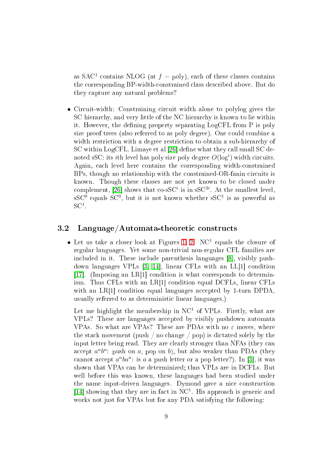as  $SAC<sup>1</sup>$  contains NLOG (at  $f = \text{poly}$ ), each of these classes contains the orresponding BP-widthonstrained lass des
ribed above. But do they apture any natural problems?

• Circuit-width: Constraining circuit width alone to polylog gives the SC hierarchy, and very little of the NC hierarchy is known to lie within it. However, the defining property separating LogCFL from P is poly size proof trees (also referred to as poly degree). One could combine a width restriction with a degree restriction to obtain a sub-hierarchy of SC within LogCFL. Limaye et al [26] define what they call small SC denoted sSC: its *i*th level has poly size poly degree  $O(\log^i)$  width circuits. Again, each level here contains the corresponding width-constrained BPs, though no relationship with the constrained-OR-fanin circuits is known. Though these lasses are not yet known to be losed under complement, [26] shows that co-sSC<sup>*i*</sup> is in sSC<sup>2*i*</sup>. At the smallest level, sSC<sup>0</sup> equals SC<sup>0</sup>, but it is not known whether sSC<sup>1</sup> is as powerful as  $SC<sup>1</sup>$ 

#### 3.2 Language/Automata-theoretic constructs

• Let us take a closer look at Figures [1,](#page-1-0) [2.](#page-6-0) NC<sup>1</sup> equals the closure of regular languages. Yet some non-trivial non-regular CFL families are included in it. These include parenthesis languages [8], visibly pushdown languages VPLs  $[3, 14]$  $[3, 14]$ , linear CFLs with an LL $[1]$  condition [17]. (Imposing an LR[1] condition is what corresponds to determinism. Thus CFLs with an  $LR[1]$  condition equal DCFLs, linear CFLs with an  $LR[1]$  condition equal languages accepted by 1-turn DPDA, usually referred to as deterministic linear languages.)

Let me highlight the membership in  $NC<sup>1</sup>$  of VPLs. Firstly, what are VPLs? These are languages accepted by visibly pushdown automata VPAs. So what are VPAs? These are PDAs with no  $\varepsilon$  moves, where the stack movement (push / no change / pop) is dictated solely by the input letter being read. They are clearly stronger than NFAs (they can accept  $a^n b^n$ : push on a, pop on b), but also weaker than PDAs (they cannot accept  $a^nba^n$ : is a a push letter or a pop letter?). In [3], it was shown that VPAs can be determinized; thus VPLs are in DCFLs. But well before this was known, these languages had been studied under the name input-driven languages. Dymond gave a nice construction [14] showing that they are in fact in  $NC<sup>1</sup>$ . His approach is generic and works not just for VPAs but for any PDA satisfying the following: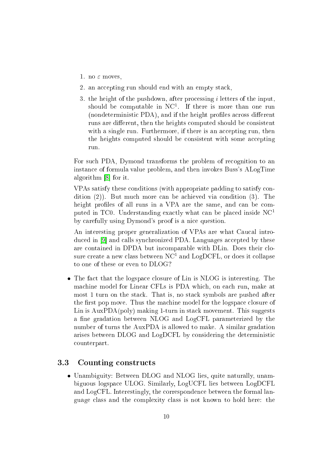- 1. no  $\varepsilon$  moves.
- 2. an accepting run should end with an empty stack.
- 3. the height of the pushdown, after pro
essing i letters of the input, should be computable in  $NC<sup>1</sup>$ . If there is more than one run (nondeterministic PDA), and if the height profiles across different runs are different, then the heights computed should be consistent with a single run. Furthermore, if there is an accepting run, then the heights computed should be consistent with some accepting run.

For such PDA, Dymond transforms the problem of recognition to an instan
e of formula value problem, and then invokes Buss's ALogTime algorithm  $[8]$  for it.

VPAs satisfy these onditions (with appropriate padding to satisfy ondition (2)). But much more can be achieved via condition (3). The height profiles of all runs in a VPA are the same, and can be computed in TC0. Understanding exactly what can be placed inside  $NC<sup>1</sup>$ by arefully using Dymond's proof is a ni
e question.

An interesting proper generalization of VPAs are what Caucal introduced in [9] and calls synchronized PDA. Languages accepted by these are ontained in DPDA but in
omparable with DLin. Does their losure create a new class between  $\rm NC^1$  and  $\rm Log DCFL$ , or does it collapse to one of these or even to DLOG?

• The fact that the logspace closure of Lin is NLOG is interesting. The machine model for Linear CFLs is PDA which, on each run, make at most 1 turn on the sta
k. That is, no sta
k symbols are pushed after the first pop move. Thus the machine model for the logspace closure of Lin is AuxPDA(poly) making 1-turn in stack movement. This suggests a fine gradation between NLOG and LogCFL parameterized by the number of turns the AuxPDA is allowed to make. A similar gradation arises between DLOG and LogDCFL by onsidering the deterministi ounterpart.

#### 3.3 Counting onstru
ts

• Unambiguity: Between DLOG and NLOG lies, quite naturally, unambiguous logspa
e ULOG. Similarly, LogUCFL lies between LogDCFL and LogCFL. Interestingly, the orresponden
e between the formal language lass and the omplexity lass is not known to hold here: the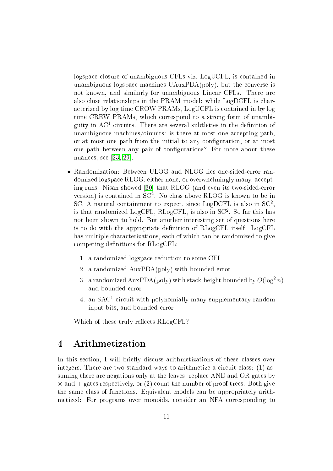logspace closure of unambiguous CFLs viz. LogUCFL, is contained in unambiguous logspace machines UAuxPDA(poly), but the converse is not known, and similarly for unambiguous Linear CFLs. There are also close relationships in the PRAM model: while LogDCFL is chara
terized by log time CROW PRAMs, LogUCFL is ontained in by log time CREW PRAMs, whi
h orrespond to a strong form of unambiguity in  $AC^1$  circuits. There are several subtleties in the definition of unambiguous machines/circuits: is there at most one accepting path. or at most one path from the initial to any configuration, or at most one path between any pair of configurations? For more about these nuances, see  $[23, 29]$  $[23, 29]$ .

- Randomization: Between ULOG and NLOG lies one-sided-error randomized logspace RLOG: either none, or overwhelmingly many, accepting runs. Nisan showed [30] that RLOG (and even its two-sided-error version) is contained in  $SC^2$ . No class above RLOG is known to be in SC. A natural containment to expect, since LogDCFL is also in SC<sup>2</sup>, is that randomized LogCFL,  $RLogCFL$ , is also in  $SC<sup>2</sup>$ . So far this has not been shown to hold. But another interesting set of questions here is to do with the appropriate denition of RLogCFL itself. LogCFL has multiple characterizations, each of which can be randomized to give competing definitions for RLogCFL:
	- 1. a randomized logspa
	e redu
	tion to some CFL
	- 2. a randomized AuxPDA(poly) with bounded error
	- 3. a randomized AuxPDA(poly) with stack-height bounded by  $O(\log^2 n)$ and bounded error
	- 4. an  $SAC<sup>1</sup>$  circuit with polynomially many supplementary random input bits, and bounded error

Which of these truly reflects RLogCFL?

## 4 Arithmetization

In this section, I will briefly discuss arithmetizations of these classes over integers. There are two standard ways to arithmetize a circuit class:  $(1)$  assuming there are negations only at the leaves, repla
e AND and OR gates by  $\times$  and  $+$  gates respectively, or (2) count the number of proof-trees. Both give the same lass of fun
tions. Equivalent models an be appropriately arithmetized: For programs over monoids, consider an NFA corresponding to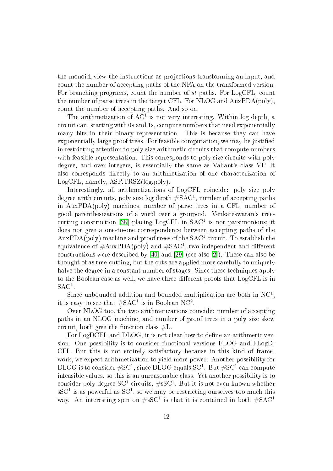the monoid, view the instru
tions as proje
tions transforming an input, and count the number of accepting paths of the NFA on the transformed version. For branching programs, count the number of st paths. For LogCFL, count the number of parse trees in the target CFL. For NLOG and AuxPDA(poly), count the number of accepting paths. And so on.

The arithmetization of  $AC<sup>1</sup>$  is not very interesting. Within log depth, a ir
uit an, starting with 0s and 1s, ompute numbers that need exponentially many bits in their binary representation. This is because they can have exponentially large proof trees. For feasible omputation, we may be justied in restricting attention to poly size arithmetic circuits that compute numbers with feasible representation. This corresponds to poly size circuits with poly degree, and over integers, is essentially the same as Valiant's class VP. It also corresponds directly to an arithmetization of one characterization of LogCFL, namely, ASP,TRSZ(log,poly).

Interestingly, all arithmetizations of LogCFL coincide: poly size poly degree arith circuits, poly size log depth  $\#\text{SAC}^1$ , number of accepting paths in AuxPDA(poly) ma
hines, number of parse trees in a CFL, number of good parenthesizations of a word over a groupoid. Venkateswaran's tree cutting construction [38] placing  $LogCFL$  in  $SAC<sup>1</sup>$  is not parsimonious; it does not give a one-to-one correspondence between accepting paths of the  $\text{AuxPDA}$ (poly) machine and proof trees of the SAC<sup>1</sup> circuit. To establish the equivalence of  $\#\mathrm{AuxPDA(poly)}$  and  $\#\mathrm{SAC}^1$ , two independent and different constructions were described by  $[40]$  and  $[29]$  (see also  $[2]$ ). These can also be thought of as treeutting, but the uts are applied more arefully to uniquely halve the degree in a constant number of stages. Since these techniques apply to the Boolean case as well, we have three different proofs that LogCFL is in  $\mathrm{SAC}^1$ .

Since unbounded addition and bounded multiplication are both in  $NC<sup>1</sup>$ , it is easy to see that  $\#\text{SAC}^1$  is in Boolean NC<sup>2</sup>.

Over NLOG too, the two arithmetizations coincide: number of accepting paths in an NLOG ma
hine, and number of proof trees in a poly size skew circuit, both give the function class  $\#L$ .

For LogDCFL and DLOG, it is not clear how to define an arithmetic version. One possibility is to consider functional versions FLOG and FLogD-CFL. But this is not entirely satisfa
tory be
ause in this kind of framework, we expect arithmetization to yield more power. Another possibility for  $\rm DLOG$  is to consider  $\rm \#SC^{1},$  since  $\rm DLOG$  equals  $\rm SC^{1}.$  But  $\rm \#SC^{1}$  can compute infeasible values, so this is an unreasonable lass. Yet another possibility is to consider poly degree SC<sup>1</sup> circuits,  $\# {\rm sSC^1}$ . But it is not even known whether sSC<sup>1</sup> is as powerful as SC<sup>1</sup>, so we may be restricting ourselves too much this way. An interesting spin on  $\#sSC^1$  is that it is contained in both  $\#SAC^1$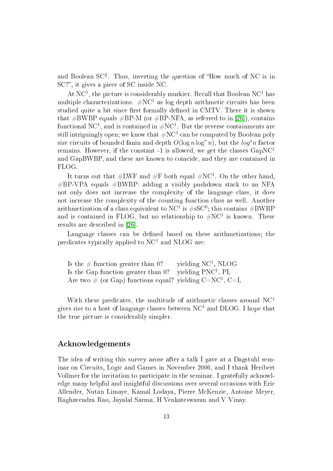and Boolean  $SC^2$ . Thus, inverting the question of "How much of NC is in SC?", it gives a piece of SC inside NC.

At NC<sup>1</sup>, the picture is considerably murkier. Recall that Boolean NC<sup>1</sup> has multiple characterizations.  $\# NC^1$  as log depth arithmetic circuits has been studied quite a bit since first formally defined in CMTV. There it is shown that  $\#BWBP$  equals  $\#BP-M$  (or  $\#BP-NFA$ , as referred to in [26]), contains functional NC<sup>1</sup>, and is contained in  $\#\mathrm{NC}^1.$  But the reverse containments are still intriguingly open; we know that  $\#\text{NC}^1$  can be computed by Boolean poly size circuits of bounded fanin and depth  $O(\log n \log^* n)$ , but the  $\log^* n$  factor remains. However, if the constant  $-1$  is allowed, we get the classes  $GapNC<sup>1</sup>$ and GapBWBP, and these are known to coincide, and they are contained in FLOG.

It turns out that  $\#\text{LWF}$  and  $\#\text{F}$  both equal  $\#\text{NC}^1$ . On the other hand,  $\#BP\text{-}VPA$  equals  $\#BWBP$ : adding a visibly pushdown stack to an NFA not only does not increase the complexity of the language class, it does not increase the complexity of the counting function class as well. Another arithmetization of a class equivalent to  $\rm NC^1$  is  $\# {\rm sSC^0};$  this contains  $\# {\rm BWBP}$ and is contained in FLOG, but no relationship to  $\#\text{NC}^1$  is known. These results are described in [26].

Language classes can be defined based on these arithmetizations; the predicates typically applied to  $NC<sup>1</sup>$  and NLOG are:

Is the  $\#$  function greater than 0? yielding  $NC<sup>1</sup>$ , NLOG Is the Gap function greater than  $0$ ? yielding  $PNC<sup>1</sup>$ , PL Are two  $\#$  (or Gap) functions equal? yielding C=NC<sup>1</sup>, C=L

With these predicates, the multitude of arithmetic classes around  $NC<sup>1</sup>$ gives rise to a host of language classes between  $NC<sup>1</sup>$  and DLOG. I hope that the true picture is considerably simpler.

#### A
knowledgements

The idea of writing this survey arose after a talk I gave at a Dagstuhl seminar on Cir
uits, Logi and Games in November 2006, and I thank Heribert Vollmer for the invitation to participate in the seminar. I gratefully acknowledge many helpful and insightful discussions over several occasions with Eric Allender, Nutan Limaye, Kamal Lodaya, Pierre M
Kenzie, Antoine Meyer, Raghavendra Rao, Jayalal Sarma, H Venkateswaran and V Vinay.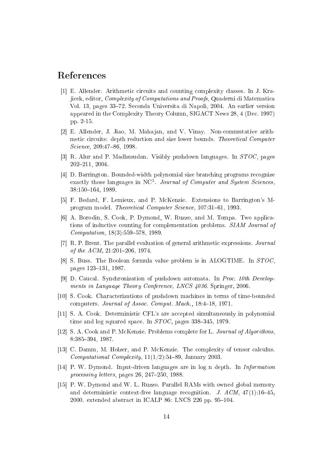# <span id="page-13-0"></span>Referen
es

- [1] E. Allender. Arithmetic circuits and counting complexity classes. In J. Kraji
ek, editor, Complexity of Computations and Proofs, Quaderni di Matemati
a Vol. 13, pages 33-72. Seconda Universita di Napoli, 2004. An earlier version appeared in the Complexity Theory Column, SIGACT News 28, 4 (De
. 1997) pp. 2-15.
- <span id="page-13-14"></span>[2] E. Allender, J. Jiao, M. Mahajan, and V. Vinay. Non-commutative arithmetic circuits: depth reduction and size lower bounds. Theoretical Computer Science, 209:47-86, 1998.
- <span id="page-13-11"></span><span id="page-13-1"></span>[3] R. Alur and P. Madhusudan. Visibly pushdown languages. In  $STOC$ , pages 202211, 2004.
- [4] D. Barrington. Bounded-width polynomial size branching programs recognize exactly those languages in NC<sup>1</sup> Journal of Computer and System Sciences, 38:150-164, 1989.
- <span id="page-13-6"></span><span id="page-13-5"></span>[5] F. Bedard, F. Lemieux, and P. McKenzie. Extensions to Barrington's Mprogram model. Theoretical Computer Science, 107:31-61, 1993.
- [6] A. Borodin, S. Cook, P. Dymond, W. Ruzzo, and M. Tompa. Two applications of inductive counting for complementation problems. SIAM Journal of  $Computation, 18(3):559-578, 1989.$
- <span id="page-13-10"></span><span id="page-13-3"></span>[7]  $R$ . P. Brent. The parallel evaluation of general arithmetic expressions. *Journal* of the  $ACM$ ,  $21:201-206$ , 1974.
- [8] S. Buss. The Boolean formula value problem is in ALOGTIME. In  $STOC$ . pages 123-131, 1987.
- <span id="page-13-13"></span>[9] D. Caucal. Synchronization of pushdown automata. In *Proc. 10th Develop*ments in Language Theory Conference, LNCS 4036. Springer, 2006.
- <span id="page-13-4"></span><span id="page-13-2"></span>[10] S. Cook. Characterizations of pushdown machines in terms of time-bounded computers. Journal of Assoc. Comput. Mach., 18:4-18, 1971.
- <span id="page-13-9"></span>[11] S. A. Cook. Deterministic CFL's are accepted simultaneously in polynomial time and log squared space. In  $STOC$ , pages 338–345, 1979.
- <span id="page-13-8"></span>[12] S. A. Cook and P. McKenzie. Problems complete for L. Journal of Algorithms, 8:385394, 1987.
- <span id="page-13-12"></span>[13] C. Damm, M. Holzer, and P. McKenzie. The complexity of tensor calculus. Computational Complexity,  $11(1/2)$ :54-89, January 2003.
- <span id="page-13-7"></span>[14] P. W. Dymond. Input-driven languages are in log n depth. In *Information* processing letters, pages 26, 247-250, 1988.
- [15] P. W. Dymond and W. L. Ruzzo. Parallel RAMs with owned global memory and deterministic context-free language recognition. J.  $ACM$ ,  $47(1):16-45$ . 2000. extended abstract in ICALP 86: LNCS 226 pp. 95-104.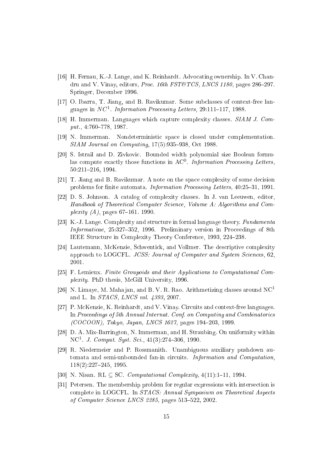- <span id="page-14-9"></span>[16] H. Fernau, K.-J. Lange, and K. Reinhardt. Advocating ownership. In V. Chandru and V. Vinay, editors, *Proc. 16th FST&TCS*, *LNCS* 1180, pages 286–297. Springer, De
ember 1996.
- <span id="page-14-14"></span><span id="page-14-4"></span>[17] O. Ibarra, T. Jiang, and B. Ravikumar. Some subclasses of context-free languages in  $NC^1$ . Information Processing Letters, 29:111-117, 1988.
- <span id="page-14-5"></span>[18] H. Immerman. Languages which capture complexity classes.  $SIAM J. Com$  $put., 4:760-778, 1987.$
- <span id="page-14-3"></span>[19] N. Immerman. Nondeterministic space is closed under complementation.  $SIAM\ Journal\ on\ Computing, 17(5)$ :935-938, Oct 1988.
- [20] S. Istrail and D. Zivkovic. Bounded width polynomial size Boolean formulas compute exactly those functions in  $AC<sup>0</sup>$ . Information Processing Letters, 50:211216, 1994.
- <span id="page-14-12"></span><span id="page-14-1"></span>[21] T. Jiang and B. Ravikumar. A note on the space complexity of some decision problems for finite automata. *Information Processing Letters*, 40:25-31, 1991.
- [22] D. S. Johnson. A catalog of complexity classes. In J. van Leeuwen, editor, Handbook of Theoretical Computer Science, Volume A: Algorithms and Complexity  $(A)$ , pages 67–161. 1990.
- <span id="page-14-0"></span>[23] K.-J. Lange. Complexity and structure in formal language theory. Fundamenta Informaticae, 25:327-352, 1996. Preliminary version in Proceedings of 8th IEEE Structure in Complexity Theory Conference, 1993, 224-238.
- <span id="page-14-8"></span>[24] Lautemann, McKenzie, Schwentick, and Vollmer. The descriptive complexity approach to LOGCFL. JCSS: Journal of Computer and System Sciences, 62. 2001.
- <span id="page-14-13"></span><span id="page-14-7"></span>[25] F. Lemieux. Finite Groupoids and their Applications to Computational Complexity. PhD thesis, McGill University, 1996.
- <span id="page-14-6"></span>[26] N. Limaye, M. Mahajan, and B. V. R. Rao. Arithmetizing classes around  $NC<sup>1</sup>$ and L. In STACS, LNCS vol. 4393, 2007.
- [27] P. McKenzie, K. Reinhardt, and V. Vinay. Circuits and context-free languages. In Proceedings of 5th Annual Internat. Conf. on Computing and Combinatorics  $(COCOON)$ , Tokyo, Japan, LNCS 1627, pages 194-203, 1999.
- <span id="page-14-15"></span><span id="page-14-2"></span>[28]  $D. A. Mix-Barrington, N. Immerman, and H. Straubing. On uniformity within$ NC<sup>1</sup>. *J. Comput. Syst. Sci.*,  $41(3):274-306$ , 1990.
- [29] R. Niedermeier and P. Rossmanith. Unambiguous auxiliary pushdown automata and semi-unbounded fan-in circuits. Information and Computation, 118(2):227245, 1995.
- <span id="page-14-11"></span><span id="page-14-10"></span>[30] N. Nisan. RL  $\subseteq$  SC. Computational Complexity, 4(11):1-11, 1994.
- [31] Petersen. The membership problem for regular expressions with intersection is complete in LOGCFL. In *STACS: Annual Symposium on Theoretical Aspects* of Computer Science LNCS 2285, pages 513-522, 2002.